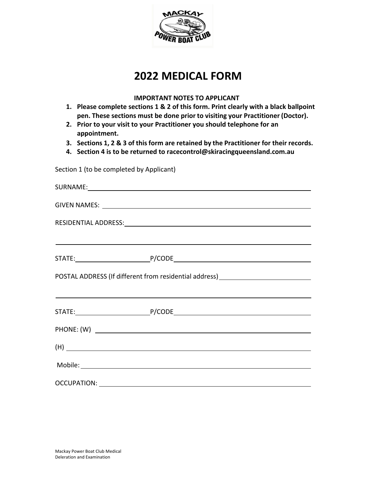

# **2022 MEDICAL FORM**

### **IMPORTANT NOTES TO APPLICANT**

- **1. Please complete sections 1 & 2 of this form. Print clearly with a black ballpoint pen. These sections must be done prior to visiting your Practitioner (Doctor).**
- **2. Prior to your visit to your Practitioner you should telephone for an appointment.**
- **3. Sections 1, 2 & 3 of thisform are retained by the Practitioner for their records.**
- **4. Section 4 is to be returned to racecontrol@skiracingqueensland.com.au**

Section 1 (to be completed by Applicant)

|  | <u> 1999 - Johann Harry Harry Harry Harry Harry Harry Harry Harry Harry Harry Harry Harry Harry Harry Harry Harry H</u> |
|--|-------------------------------------------------------------------------------------------------------------------------|
|  |                                                                                                                         |
|  | POSTAL ADDRESS (If different from residential address) _________________________                                        |
|  | <u> Alexandro de la contrada de la contrada de la contrada de la contrada de la contrada de la contrada de la con</u>   |
|  |                                                                                                                         |
|  |                                                                                                                         |
|  | (H)                                                                                                                     |
|  |                                                                                                                         |
|  |                                                                                                                         |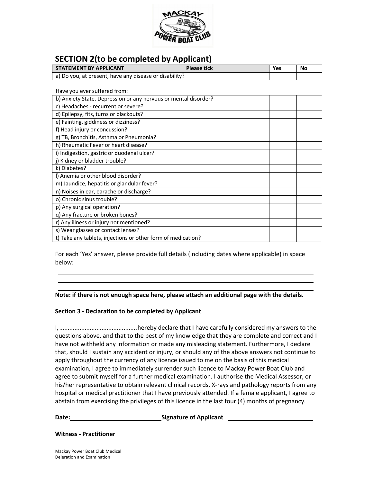

# **SECTION 2(to be completed by Applicant)**

| <b>STATEMENT BY APPLICANT</b>                          | <b>Please tick</b> | Yes | No |
|--------------------------------------------------------|--------------------|-----|----|
| a) Do you, at present, have any disease or disability? |                    |     |    |

Have you ever suffered from:

| b) Anxiety State. Depression or any nervous or mental disorder? |  |
|-----------------------------------------------------------------|--|
| c) Headaches - recurrent or severe?                             |  |
| d) Epilepsy, fits, turns or blackouts?                          |  |
| e) Fainting, giddiness or dizziness?                            |  |
| f) Head injury or concussion?                                   |  |
| g) TB, Bronchitis, Asthma or Pneumonia?                         |  |
| h) Rheumatic Fever or heart disease?                            |  |
| i) Indigestion, gastric or duodenal ulcer?                      |  |
| j) Kidney or bladder trouble?                                   |  |
| k) Diabetes?                                                    |  |
| I) Anemia or other blood disorder?                              |  |
| m) Jaundice, hepatitis or glandular fever?                      |  |
| n) Noises in ear, earache or discharge?                         |  |
| o) Chronic sinus trouble?                                       |  |
| p) Any surgical operation?                                      |  |
| q) Any fracture or broken bones?                                |  |
| r) Any illness or injury not mentioned?                         |  |
| s) Wear glasses or contact lenses?                              |  |
| t) Take any tablets, injections or other form of medication?    |  |

For each 'Yes' answer, please provide full details (including dates where applicable) in space below:

**Note: if there is not enough space here, please attach an additional page with the details.**

### **Section 3 - Declaration to be completed by Applicant**

I,..............................................hereby declare that I have carefully considered my answers to the questions above, and that to the best of my knowledge that they are complete and correct and I have not withheld any information or made any misleading statement. Furthermore, I declare that, should I sustain any accident or injury, or should any of the above answers not continue to apply throughout the currency of any licence issued to me on the basis of this medical examination, I agree to immediately surrender such licence to Mackay Power Boat Club and agree to submit myself for a further medical examination. I authorise the Medical Assessor, or his/her representative to obtain relevant clinical records, X-rays and pathology reports from any hospital or medical practitioner that I have previously attended. If a female applicant, I agree to abstain from exercising the privileges of this licence in the last four (4) months of pregnancy.

**Date: CONSIDER SIGNATURE** Signature of Applicant **CONSIDER ALCONST** 

#### **Witness - Practitioner**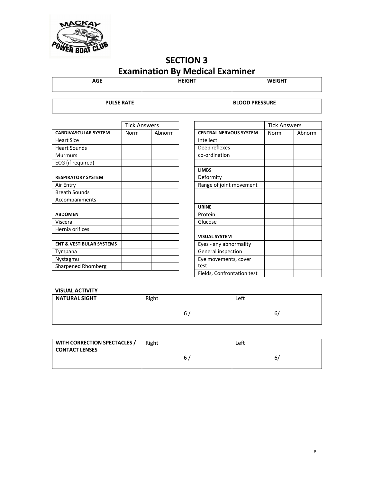

# **SECTION 3 Examination By Medical Examiner**

**AGE HEIGHT WEIGHT**

**PULSE RATE BLOOD PRESSURE**

|                                     | <b>Tick Answers</b> |        |
|-------------------------------------|---------------------|--------|
| <b>CARDIVASCULAR SYSTEM</b>         | Norm                | Abnorm |
| <b>Heart Size</b>                   |                     |        |
| <b>Heart Sounds</b>                 |                     |        |
| <b>Murmurs</b>                      |                     |        |
| ECG (if required)                   |                     |        |
|                                     |                     |        |
| <b>RESPIRATORY SYSTEM</b>           |                     |        |
| Air Entry                           |                     |        |
| <b>Breath Sounds</b>                |                     |        |
| Accompaniments                      |                     |        |
|                                     |                     |        |
| <b>ABDOMEN</b>                      |                     |        |
| Viscera                             |                     |        |
| Hernia orifices                     |                     |        |
|                                     |                     |        |
| <b>ENT &amp; VESTIBULAR SYSTEMS</b> |                     |        |
| Tympana                             |                     |        |
| Nystagmu                            |                     |        |
| <b>Sharpened Rhomberg</b>           |                     |        |

|                               | <b>Tick Answers</b> |        |
|-------------------------------|---------------------|--------|
| <b>CENTRAL NERVOUS SYSTEM</b> | Norm                | Abnorm |
| Intellect                     |                     |        |
| Deep reflexes                 |                     |        |
| co-ordination                 |                     |        |
|                               |                     |        |
| <b>LIMBS</b>                  |                     |        |
| Deformity                     |                     |        |
| Range of joint movement       |                     |        |
|                               |                     |        |
|                               |                     |        |
| <b>URINE</b>                  |                     |        |
| Protein                       |                     |        |
| Glucose                       |                     |        |
|                               |                     |        |
| <b>VISUAL SYSTEM</b>          |                     |        |
| Eyes - any abnormality        |                     |        |
| General inspection            |                     |        |
| Eye movements, cover          |                     |        |
| test                          |                     |        |
| Fields, Confrontation test    |                     |        |

### **VISUAL ACTIVITY**

| <b>NATURAL SIGHT</b> | Right | Left    |
|----------------------|-------|---------|
|                      | ь     | ∽<br>ь, |

| WITH CORRECTION SPECTACLES /<br>  CONTACT LENSES | Right | Left |
|--------------------------------------------------|-------|------|
|                                                  |       | ь    |